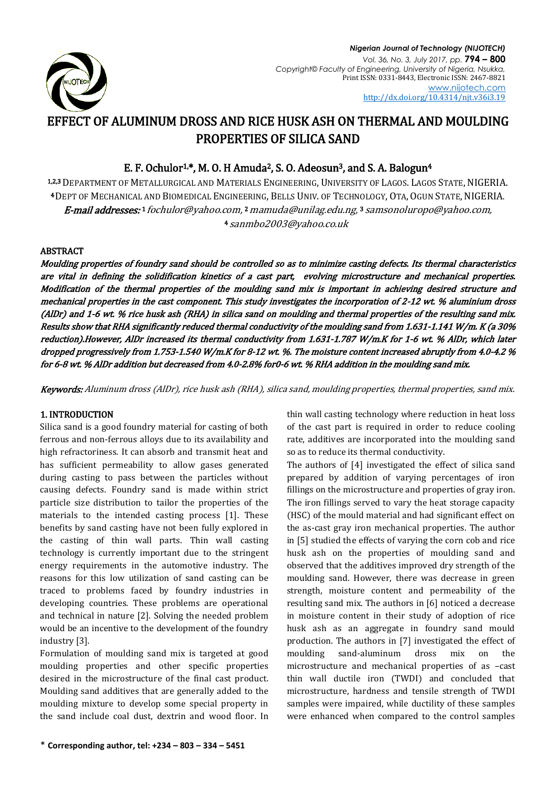

# EFFECT OF ALUMINUM DROSS AND RICE HUSK ASH ON THERMAL AND MOULDING PROPERTIES OF SILICA SAND

## E. F. Ochulor<sup>1,\*</sup>, M. O. H Amuda<sup>2</sup>, S. O. Adeosun<sup>3</sup>, and S. A. Balogun<sup>4</sup>

1,2,3 DEPARTMENT OF METALLURGICAL AND MATERIALS ENGINEERING, UNIVERSITY OF LAGOS. LAGOS STATE, NIGERIA. <sup>4</sup> DEPT OF MECHANICAL AND BIOMEDICAL ENGINEERING, BELLS UNIV. OF TECHNOLOGY, OTA, OGUN STATE, NIGERIA. **E-mail addresses:**1 [fochulor@yahoo.com,](mailto:1(fochulor@yahoo.com)2 [mamuda@unilag.edu.ng,](mailto:mamuda@unilag.edu.ng)3 samsonoluropo@yahoo.com, <sup>4</sup> [sanmbo2003@yahoo.co.uk](mailto:sanmbo2003@yahoo.co.uk)

## ABSTRACT

Moulding properties of foundry sand should be controlled so as to minimize casting defects. Its thermal characteristics are vital in defining the solidification kinetics of a cast part, evolving microstructure and mechanical properties. Modification of the thermal properties of the moulding sand mix is important in achieving desired structure and mechanical properties in the cast component. This study investigates the incorporation of 2-12 wt. % aluminium dross (AlDr) and 1-6 wt. % rice husk ash (RHA) in silica sand on moulding and thermal properties of the resulting sand mix. Results show that RHA significantly reduced thermal conductivity of the moulding sand from 1.631-1.141 W/m. K (a 30% reduction).However, AlDr increased its thermal conductivity from 1.631-1.787 W/m.K for 1-6 wt. % AlDr, which later dropped progressively from 1.753-1.540 W/m.K for 8-12 wt. %. The moisture content increased abruptly from 4.0-4.2 % for 6-8 wt. % AlDr addition but decreased from 4.0-2.8% for0-6 wt. % RHA addition in the moulding sand mix.

Keywords: Aluminum dross (AlDr), rice husk ash (RHA), silica sand, moulding properties, thermal properties, sand mix.

## 1. INTRODUCTION

Silica sand is a good foundry material for casting of both ferrous and non-ferrous alloys due to its availability and high refractoriness. It can absorb and transmit heat and has sufficient permeability to allow gases generated during casting to pass between the particles without causing defects. Foundry sand is made within strict particle size distribution to tailor the properties of the materials to the intended casting process [1]. These benefits by sand casting have not been fully explored in the casting of thin wall parts. Thin wall casting technology is currently important due to the stringent energy requirements in the automotive industry. The reasons for this low utilization of sand casting can be traced to problems faced by foundry industries in developing countries. These problems are operational and technical in nature [2]. Solving the needed problem would be an incentive to the development of the foundry industry [3].

Formulation of moulding sand mix is targeted at good moulding properties and other specific properties desired in the microstructure of the final cast product. Moulding sand additives that are generally added to the moulding mixture to develop some special property in the sand include coal dust, dextrin and wood floor. In

thin wall casting technology where reduction in heat loss of the cast part is required in order to reduce cooling rate, additives are incorporated into the moulding sand so as to reduce its thermal conductivity.

The authors of [4] investigated the effect of silica sand prepared by addition of varying percentages of iron fillings on the microstructure and properties of gray iron. The iron fillings served to vary the heat storage capacity (HSC) of the mould material and had significant effect on the as-cast gray iron mechanical properties. The author in [5] studied the effects of varying the corn cob and rice husk ash on the properties of moulding sand and observed that the additives improved dry strength of the moulding sand. However, there was decrease in green strength, moisture content and permeability of the resulting sand mix. The authors in [6] noticed a decrease in moisture content in their study of adoption of rice husk ash as an aggregate in foundry sand mould production. The authors in [7] investigated the effect of moulding sand-aluminum dross mix on the microstructure and mechanical properties of as –cast thin wall ductile iron (TWDI) and concluded that microstructure, hardness and tensile strength of TWDI samples were impaired, while ductility of these samples were enhanced when compared to the control samples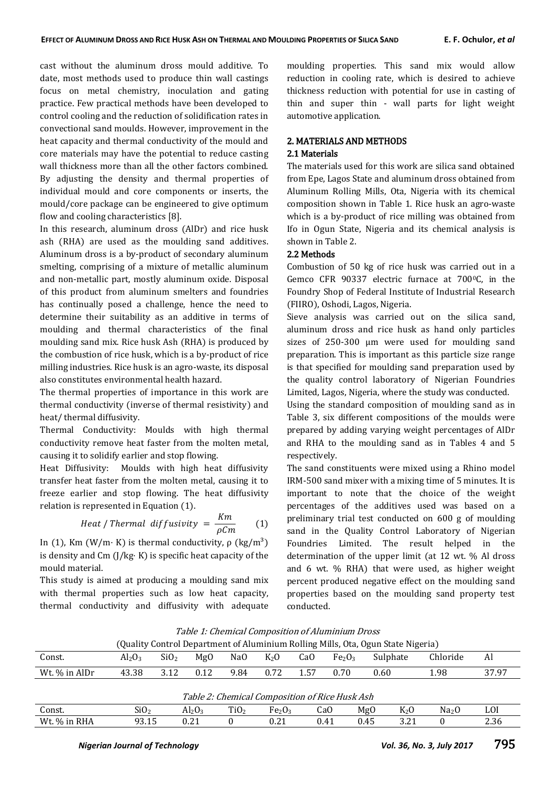cast without the aluminum dross mould additive. To date, most methods used to produce thin wall castings focus on metal chemistry, inoculation and gating practice. Few practical methods have been developed to control cooling and the reduction of solidification rates in convectional sand moulds. However, improvement in the heat capacity and thermal conductivity of the mould and core materials may have the potential to reduce casting wall thickness more than all the other factors combined. By adjusting the density and thermal properties of individual mould and core components or inserts, the mould/core package can be engineered to give optimum flow and cooling characteristics [8].

In this research, aluminum dross (AlDr) and rice husk ash (RHA) are used as the moulding sand additives. Aluminum dross is a by-product of secondary aluminum smelting, comprising of a mixture of metallic aluminum and non-metallic part, mostly aluminum oxide. Disposal of this product from aluminum smelters and foundries has continually posed a challenge, hence the need to determine their suitability as an additive in terms of moulding and thermal characteristics of the final moulding sand mix. Rice husk Ash (RHA) is produced by the combustion of rice husk, which is a by-product of rice milling industries. Rice husk is an agro-waste, its disposal also constitutes environmental health hazard.

The thermal properties of importance in this work are thermal conductivity (inverse of thermal resistivity) and heat/ thermal diffusivity.

Thermal Conductivity: Moulds with high thermal conductivity remove heat faster from the molten metal, causing it to solidify earlier and stop flowing.

Heat Diffusivity: Moulds with high heat diffusivity transfer heat faster from the molten metal, causing it to freeze earlier and stop flowing. The heat diffusivity relation is represented in Equation (1).

Heat / Thermal diffusivity = 
$$
\frac{Km}{\rho Cm}
$$
 (1)

In (1), Km (W/m· K) is thermal conductivity,  $ρ$  (kg/m<sup>3</sup>) is density and Cm (J/kg· K) is specific heat capacity of the mould material.

This study is aimed at producing a moulding sand mix with thermal properties such as low heat capacity, thermal conductivity and diffusivity with adequate moulding properties. This sand mix would allow reduction in cooling rate, which is desired to achieve thickness reduction with potential for use in casting of thin and super thin - wall parts for light weight automotive application.

## 2. MATERIALS AND METHODS

#### 2.1 Materials

The materials used for this work are silica sand obtained from Epe, Lagos State and aluminum dross obtained from Aluminum Rolling Mills, Ota, Nigeria with its chemical composition shown in Table 1. Rice husk an agro-waste which is a by-product of rice milling was obtained from Ifo in Ogun State, Nigeria and its chemical analysis is shown in Table 2.

#### 2.2 Methods

Combustion of 50 kg of rice husk was carried out in a Gemco CFR 90337 electric furnace at 700°C, in the Foundry Shop of Federal Institute of Industrial Research (FIIRO), Oshodi, Lagos, Nigeria.

Sieve analysis was carried out on the silica sand, aluminum dross and rice husk as hand only particles sizes of 250-300 µm were used for moulding sand preparation. This is important as this particle size range is that specified for moulding sand preparation used by the quality control laboratory of Nigerian Foundries Limited, Lagos, Nigeria, where the study was conducted.

Using the standard composition of moulding sand as in Table 3, six different compositions of the moulds were prepared by adding varying weight percentages of AlDr and RHA to the moulding sand as in Tables 4 and 5 respectively.

The sand constituents were mixed using a Rhino model IRM-500 sand mixer with a mixing time of 5 minutes. It is important to note that the choice of the weight percentages of the additives used was based on a preliminary trial test conducted on 600 g of moulding sand in the Quality Control Laboratory of Nigerian Foundries Limited. The result helped in the determination of the upper limit (at 12 wt. % Al dross and 6 wt. % RHA) that were used, as higher weight percent produced negative effect on the moulding sand properties based on the moulding sand property test conducted.

| Table 1: Chemical Composition of Aluminium Dross                                 |
|----------------------------------------------------------------------------------|
| (Quality Control Department of Aluminium Rolling Mills, Ota, Ogun State Nigeria) |

|               | È                              |                  |                 |                 |        |                | - -                            | - - - - -     |          |                |
|---------------|--------------------------------|------------------|-----------------|-----------------|--------|----------------|--------------------------------|---------------|----------|----------------|
| Const.        | Al <sub>2</sub> O <sub>3</sub> | SiO <sub>2</sub> | Mg <sub>0</sub> | Na <sub>0</sub> | $K_2O$ | CaO            | Fe <sub>2</sub> O <sub>3</sub> | c<br>Sulphate | Chloride | Al             |
| Wt. % in AlDr | 43.38                          | າາາ<br>J.IL      | 0.12            | 9.84            | 0.72   | . 57<br>، ن. ۱ | 0.70                           | 0.60          | 1.98     | 37.97<br>,,,,, |

| Table 2: Chemical Composition of Rice Husk Ash |        |           |             |              |     |      |     |                 |      |
|------------------------------------------------|--------|-----------|-------------|--------------|-----|------|-----|-----------------|------|
| Const.                                         | SiO2   | $Al_2O_2$ | $\tau_{i0}$ | $F_{e_2O_3}$ | CaO | MgO  | K2O | Na <sub>2</sub> | LUI  |
| Wt. % in RHA                                   | በጋ 1 ሮ | $9.4 \pm$ |             |              |     | 0.45 |     |                 | 2.36 |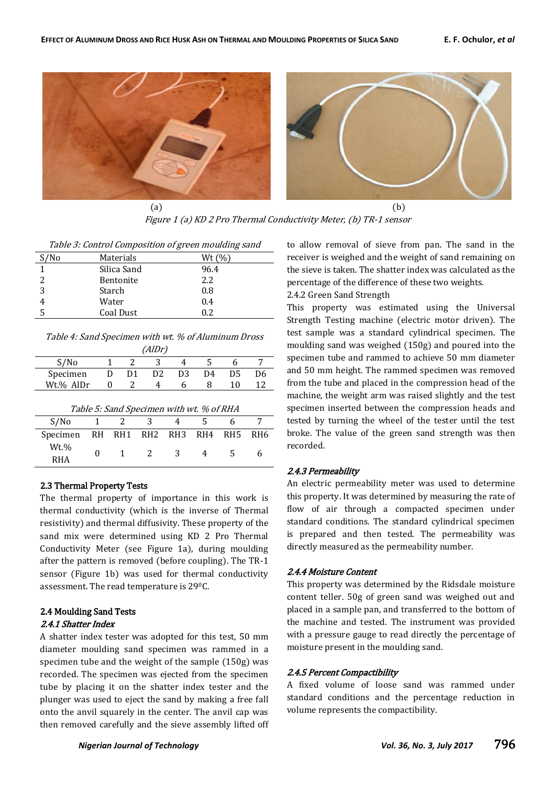

Figure 1 (a) KD 2 Pro Thermal Conductivity Meter, (b) TR-1 sensor

| S/N <sub>0</sub> | Materials   | Wt $(\%$ |
|------------------|-------------|----------|
|                  | Silica Sand | 96.4     |
| 2                | Bentonite   | 2.2      |
| 3                | Starch      | 0.8      |
|                  | Water       | 0.4      |
|                  | Coal Dust   | 02       |

Table 4: Sand Specimen with wt. % of Aluminum Dross (AlDr)

| --- - ,                                  |      |               |         |     |     |                 |     |  |  |
|------------------------------------------|------|---------------|---------|-----|-----|-----------------|-----|--|--|
| S/No                                     |      |               | 3<br>2  |     |     |                 |     |  |  |
| Specimen                                 |      | D1<br>I)      | D2      | D3  | D4  | D5              | D6  |  |  |
| Wt.% AlDr                                |      | 0             | 2<br>4  | 6   | 8   | 10              | 12  |  |  |
| Table 5: Sand Specimen with wt. % of RHA |      |               |         |     |     |                 |     |  |  |
| S/N <sub>0</sub>                         | 1    | $\mathcal{L}$ | 3       |     |     | h               |     |  |  |
| Specimen                                 | RH — |               | RH1 RH2 | RH3 | RH4 | RH <sub>5</sub> | RH6 |  |  |
| Wt.%                                     |      |               |         |     |     |                 |     |  |  |

0 1 2 3 4 5 6

#### 2.3 Thermal Property Tests

RHA

The thermal property of importance in this work is thermal conductivity (which is the inverse of Thermal resistivity) and thermal diffusivity. These property of the sand mix were determined using KD 2 Pro Thermal Conductivity Meter (see Figure 1a), during moulding after the pattern is removed (before coupling). The TR-1 sensor (Figure 1b) was used for thermal conductivity assessment. The read temperature is 290C.

#### 2.4 Moulding Sand Tests 2.4.1 Shatter Index

A shatter index tester was adopted for this test, 50 mm diameter moulding sand specimen was rammed in a specimen tube and the weight of the sample (150g) was recorded. The specimen was ejected from the specimen tube by placing it on the shatter index tester and the plunger was used to eject the sand by making a free fall onto the anvil squarely in the center. The anvil cap was then removed carefully and the sieve assembly lifted off

to allow removal of sieve from pan. The sand in the receiver is weighed and the weight of sand remaining on the sieve is taken. The shatter index was calculated as the percentage of the difference of these two weights.

2.4.2 Green Sand Strength

This property was estimated using the Universal Strength Testing machine (electric motor driven). The test sample was a standard cylindrical specimen. The moulding sand was weighed (150g) and poured into the specimen tube and rammed to achieve 50 mm diameter and 50 mm height. The rammed specimen was removed from the tube and placed in the compression head of the machine, the weight arm was raised slightly and the test specimen inserted between the compression heads and tested by turning the wheel of the tester until the test broke. The value of the green sand strength was then recorded.

#### 2.4.3 Permeability

An electric permeability meter was used to determine this property. It was determined by measuring the rate of flow of air through a compacted specimen under standard conditions. The standard cylindrical specimen is prepared and then tested. The permeability was directly measured as the permeability number.

## 2.4.4 Moisture Content

This property was determined by the Ridsdale moisture content teller. 50g of green sand was weighed out and placed in a sample pan, and transferred to the bottom of the machine and tested. The instrument was provided with a pressure gauge to read directly the percentage of moisture present in the moulding sand.

#### 2.4.5 Percent Compactibility

A fixed volume of loose sand was rammed under standard conditions and the percentage reduction in volume represents the compactibility.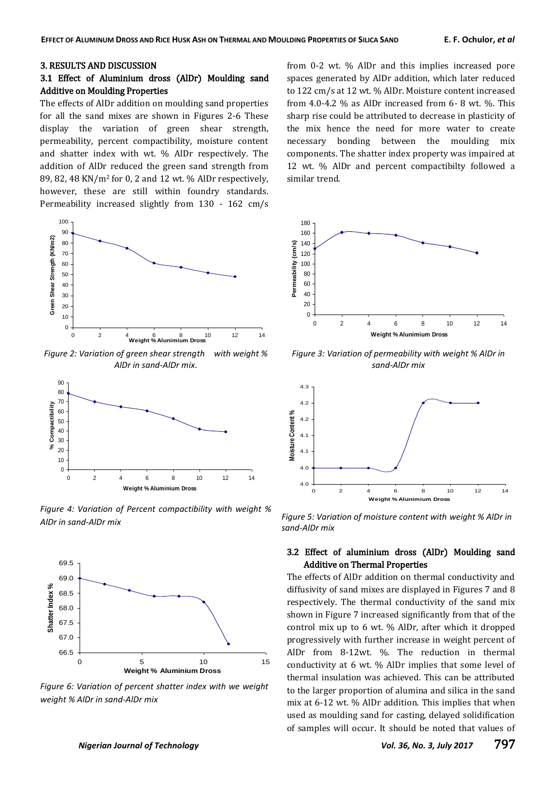#### 3. RESULTS AND DISCUSSION

## 3.1 Effect of Aluminium dross (AlDr) Moulding sand Additive on Moulding Properties

The effects of AlDr addition on moulding sand properties for all the sand mixes are shown in Figures 2-6 These display the variation of green shear strength, permeability, percent compactibility, moisture content and shatter index with wt. % AlDr respectively. The addition of AlDr reduced the green sand strength from 89, 82, 48 KN/m2 for 0, 2 and 12 wt. % AlDr respectively, however, these are still within foundry standards. Permeability increased slightly from 130 - 162 cm/s



*Figure 2: Variation of green shear strength with weight % AlDr in sand-AlDr mix*.



*Figure 4: Variation of Percent compactibility with weight % AlDr in sand-AlDr mix Figure 5: Variation of moisture content with weight % AlDr in* 



*Figure 6: Variation of percent shatter index with we weight weight % AlDr in sand-AlDr mix*

from 0-2 wt. % AlDr and this implies increased pore spaces generated by AlDr addition, which later reduced to 122 cm/s at 12 wt. % AlDr. Moisture content increased from 4.0-4.2 % as AlDr increased from 6- 8 wt. %. This sharp rise could be attributed to decrease in plasticity of the mix hence the need for more water to create necessary bonding between the moulding mix components. The shatter index property was impaired at 12 wt. % AlDr and percent compactibilty followed a similar trend.



*Figure 3: Variation of permeability with weight % AlDr in sand-AlDr mix*



*sand-AlDr mix*

## 3.2 Effect of aluminium dross (AlDr) Moulding sand Additive on Thermal Properties

The effects of AlDr addition on thermal conductivity and diffusivity of sand mixes are displayed in Figures 7 and 8 respectively. The thermal conductivity of the sand mix shown in Figure 7 increased significantly from that of the control mix up to 6 wt. % AlDr, after which it dropped progressively with further increase in weight percent of AlDr from 8-12wt. %. The reduction in thermal conductivity at 6 wt. % AlDr implies that some level of thermal insulation was achieved. This can be attributed to the larger proportion of alumina and silica in the sand mix at 6-12 wt. % AlDr addition. This implies that when used as moulding sand for casting, delayed solidification of samples will occur. It should be noted that values of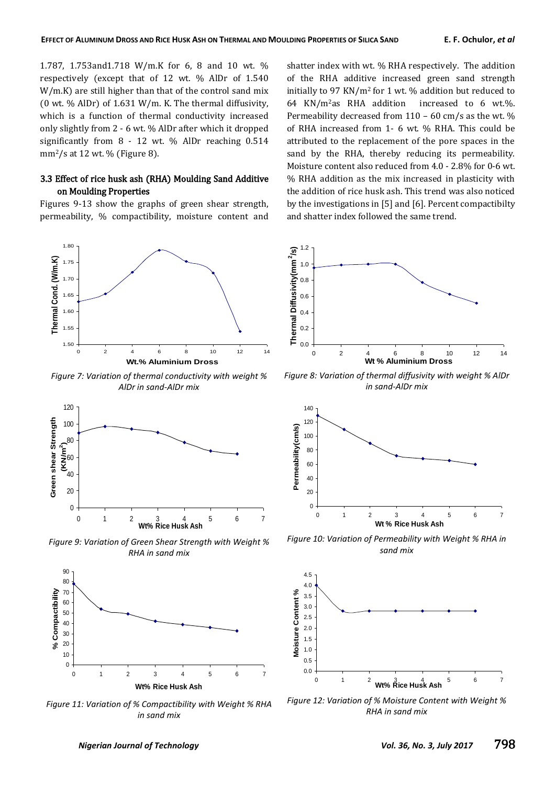1.787, 1.753and1.718 W/m.K for 6, 8 and 10 wt. % respectively (except that of 12 wt. % AlDr of 1.540 W/m.K) are still higher than that of the control sand mix (0 wt. % AlDr) of 1.631 W/m. K. The thermal diffusivity, which is a function of thermal conductivity increased only slightly from 2 - 6 wt. % AlDr after which it dropped significantly from 8 - 12 wt. % AlDr reaching 0.514  $mm<sup>2</sup>/s$  at 12 wt. % (Figure 8).

## 3.3 Effect of rice husk ash (RHA) Moulding Sand Additive on Moulding Properties

Figures 9-13 show the graphs of green shear strength, permeability, % compactibility, moisture content and



*Figure 7: Variation of thermal conductivity with weight % AlDr in sand-AlDr mix*



*Figure 9: Variation of Green Shear Strength with Weight % RHA in sand mix*



*Figure 11: Variation of % Compactibility with Weight % RHA in sand mix*

shatter index with wt. % RHA respectively. The addition of the RHA additive increased green sand strength initially to 97 KN/m2 for 1 wt. % addition but reduced to 64 KN/m2as RHA addition increased to 6 wt.%. Permeability decreased from 110 – 60 cm/s as the wt. % of RHA increased from 1- 6 wt. % RHA. This could be attributed to the replacement of the pore spaces in the sand by the RHA, thereby reducing its permeability. Moisture content also reduced from 4.0 - 2.8% for 0-6 wt. % RHA addition as the mix increased in plasticity with the addition of rice husk ash. This trend was also noticed by the investigations in [5] and [6]. Percent compactibilty and shatter index followed the same trend.



*Figure 8: Variation of thermal diffusivity with weight % AlDr in sand-AlDr mix*



*Figure 10: Variation of Permeability with Weight % RHA in sand mix*



*Figure 12: Variation of % Moisture Content with Weight % RHA in sand mix*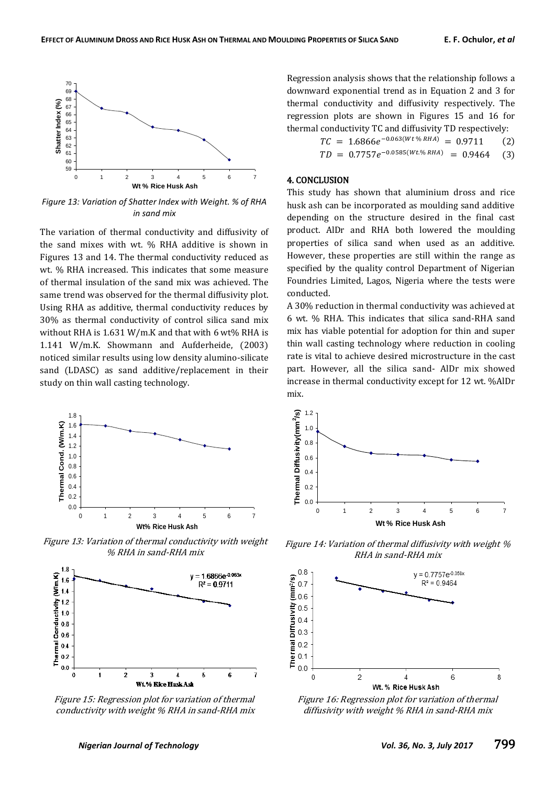

*Figure 13: Variation of Shatter Index with Weight. % of RHA in sand mix*

The variation of thermal conductivity and diffusivity of the sand mixes with wt. % RHA additive is shown in Figures 13 and 14. The thermal conductivity reduced as wt. % RHA increased. This indicates that some measure of thermal insulation of the sand mix was achieved. The same trend was observed for the thermal diffusivity plot. Using RHA as additive, thermal conductivity reduces by 30% as thermal conductivity of control silica sand mix without RHA is 1.631 W/m.K and that with 6 wt% RHA is 1.141 W/m.K. Showmann and Aufderheide, (2003) noticed similar results using low density alumino-silicate sand (LDASC) as sand additive/replacement in their study on thin wall casting technology.



Figure 13: Variation of thermal conductivity with weight % RHA in sand-RHA mix



Figure 15: Regression plot for variation of thermal conductivity with weight % RHA in sand-RHA mix

Regression analysis shows that the relationship follows a downward exponential trend as in Equation 2 and 3 for thermal conductivity and diffusivity respectively. The regression plots are shown in Figures 15 and 16 for thermal conductivity TC and diffusivity TD respectively:

$$
TC = 1.6866e^{-0.063(Wt\% RHA)} = 0.9711
$$
 (2)  

$$
TD = 0.7757e^{-0.0585(Wt\%RHA)} = 0.9464
$$
 (3)

$$
TD = 0.7757e^{-0.0585(Wt \cdot \% RHA)} = 0.9464
$$

## 4. CONCLUSION

This study has shown that aluminium dross and rice husk ash can be incorporated as moulding sand additive depending on the structure desired in the final cast product. AlDr and RHA both lowered the moulding properties of silica sand when used as an additive. However, these properties are still within the range as specified by the quality control Department of Nigerian Foundries Limited, Lagos, Nigeria where the tests were conducted.

A 30% reduction in thermal conductivity was achieved at 6 wt. % RHA. This indicates that silica sand-RHA sand mix has viable potential for adoption for thin and super thin wall casting technology where reduction in cooling rate is vital to achieve desired microstructure in the cast part. However, all the silica sand- AlDr mix showed increase in thermal conductivity except for 12 wt. %AlDr mix.



Figure 14: Variation of thermal diffusivity with weight % RHA in sand-RHA mix



Figure 16: Regression plot for variation of thermal diffusivity with weight % RHA in sand-RHA mix